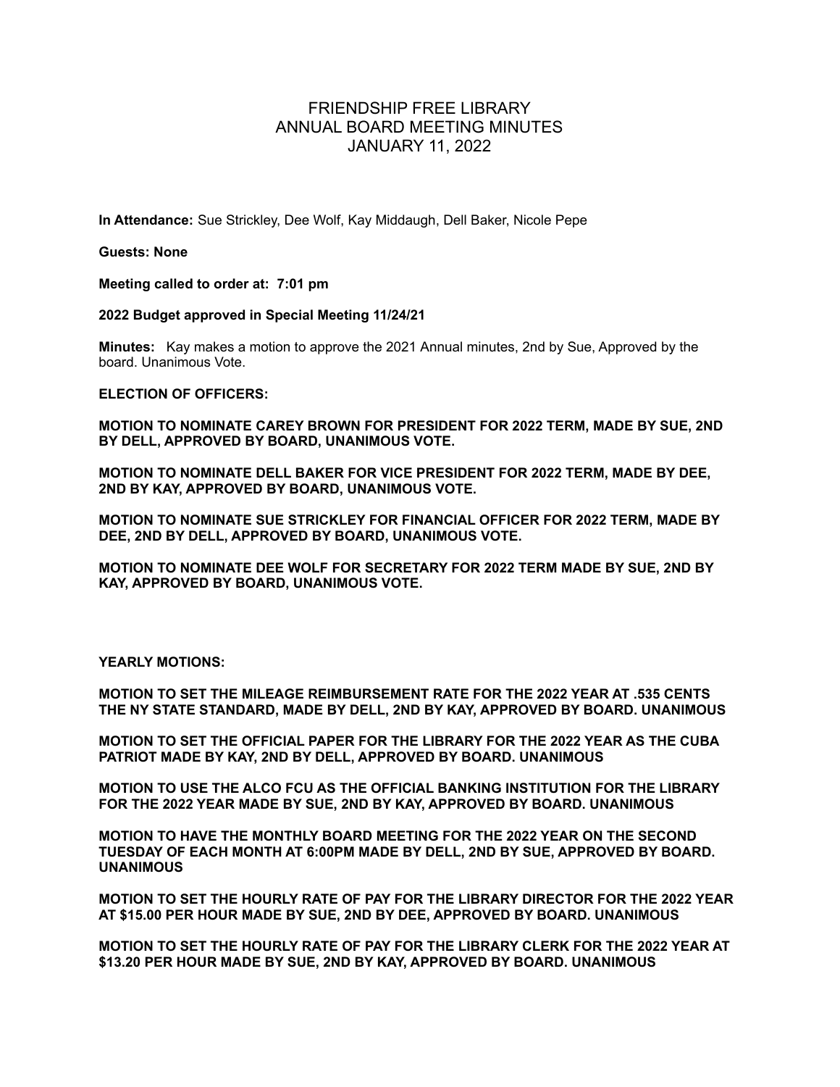## FRIENDSHIP FREE LIBRARY ANNUAL BOARD MEETING MINUTES JANUARY 11, 2022

**In Attendance:** Sue Strickley, Dee Wolf, Kay Middaugh, Dell Baker, Nicole Pepe

**Guests: None**

**Meeting called to order at: 7:01 pm**

**2022 Budget approved in Special Meeting 11/24/21**

**Minutes:** Kay makes a motion to approve the 2021 Annual minutes, 2nd by Sue, Approved by the board. Unanimous Vote.

**ELECTION OF OFFICERS:**

**MOTION TO NOMINATE CAREY BROWN FOR PRESIDENT FOR 2022 TERM, MADE BY SUE, 2ND BY DELL, APPROVED BY BOARD, UNANIMOUS VOTE.**

**MOTION TO NOMINATE DELL BAKER FOR VICE PRESIDENT FOR 2022 TERM, MADE BY DEE, 2ND BY KAY, APPROVED BY BOARD, UNANIMOUS VOTE.**

**MOTION TO NOMINATE SUE STRICKLEY FOR FINANCIAL OFFICER FOR 2022 TERM, MADE BY DEE, 2ND BY DELL, APPROVED BY BOARD, UNANIMOUS VOTE.**

**MOTION TO NOMINATE DEE WOLF FOR SECRETARY FOR 2022 TERM MADE BY SUE, 2ND BY KAY, APPROVED BY BOARD, UNANIMOUS VOTE.**

**YEARLY MOTIONS:**

**MOTION TO SET THE MILEAGE REIMBURSEMENT RATE FOR THE 2022 YEAR AT .535 CENTS THE NY STATE STANDARD, MADE BY DELL, 2ND BY KAY, APPROVED BY BOARD. UNANIMOUS**

**MOTION TO SET THE OFFICIAL PAPER FOR THE LIBRARY FOR THE 2022 YEAR AS THE CUBA PATRIOT MADE BY KAY, 2ND BY DELL, APPROVED BY BOARD. UNANIMOUS**

**MOTION TO USE THE ALCO FCU AS THE OFFICIAL BANKING INSTITUTION FOR THE LIBRARY FOR THE 2022 YEAR MADE BY SUE, 2ND BY KAY, APPROVED BY BOARD. UNANIMOUS**

**MOTION TO HAVE THE MONTHLY BOARD MEETING FOR THE 2022 YEAR ON THE SECOND TUESDAY OF EACH MONTH AT 6:00PM MADE BY DELL, 2ND BY SUE, APPROVED BY BOARD. UNANIMOUS**

**MOTION TO SET THE HOURLY RATE OF PAY FOR THE LIBRARY DIRECTOR FOR THE 2022 YEAR AT \$15.00 PER HOUR MADE BY SUE, 2ND BY DEE, APPROVED BY BOARD. UNANIMOUS**

**MOTION TO SET THE HOURLY RATE OF PAY FOR THE LIBRARY CLERK FOR THE 2022 YEAR AT \$13.20 PER HOUR MADE BY SUE, 2ND BY KAY, APPROVED BY BOARD. UNANIMOUS**